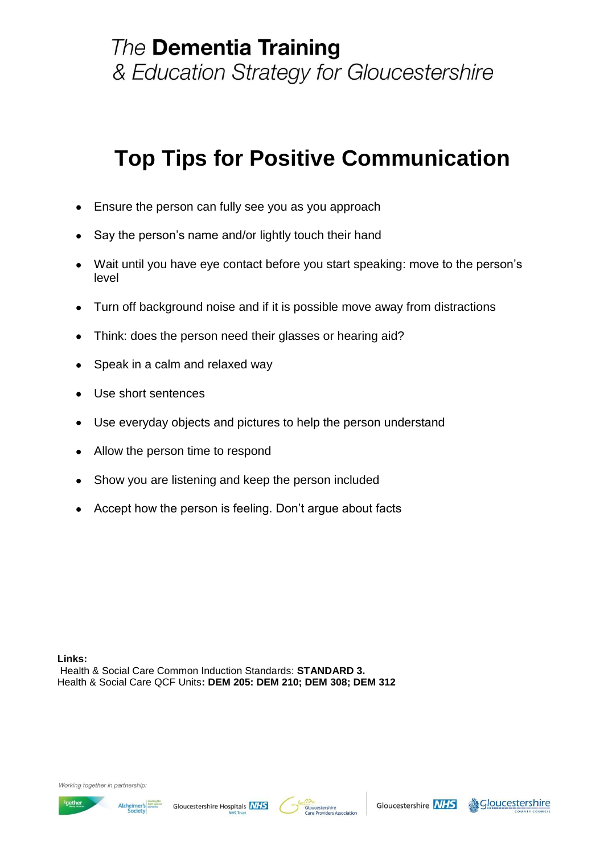# **Top Tips for Positive Communication**

- Ensure the person can fully see you as you approach  $\bullet$
- Say the person"s name and/or lightly touch their hand
- Wait until you have eye contact before you start speaking: move to the person"s level
- Turn off background noise and if it is possible move away from distractions  $\bullet$
- Think: does the person need their glasses or hearing aid?  $\bullet$
- Speak in a calm and relaxed way  $\bullet$
- Use short sentences  $\bullet$
- Use everyday objects and pictures to help the person understand  $\bullet$
- Allow the person time to respond  $\bullet$
- Show you are listening and keep the person included
- Accept how the person is feeling. Don"t argue about facts

**Links:** Health & Social Care Common Induction Standards: **STANDARD 3.**  Health & Social Care QCF Units**: DEM 205: DEM 210; DEM 308; DEM 312**

Working together in partnership







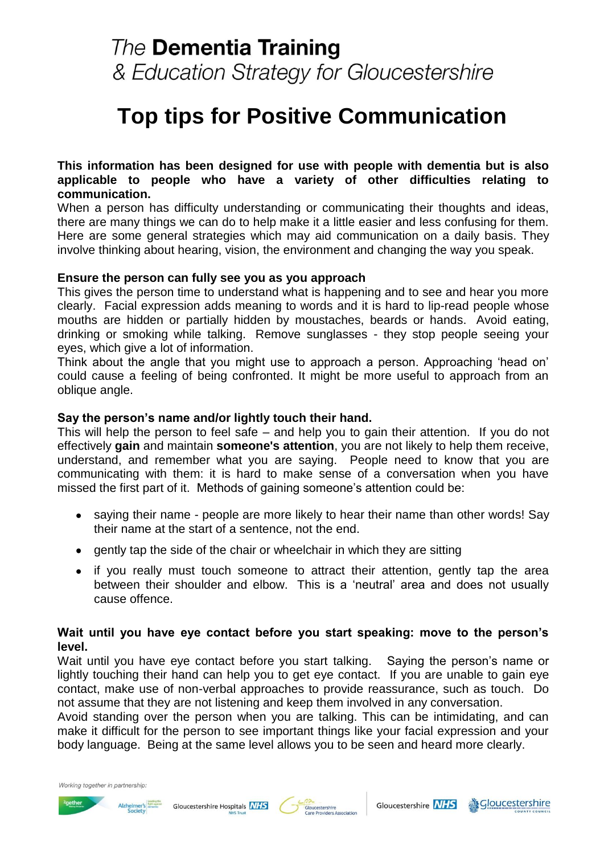### **The Dementia Training** & Education Strategy for Gloucestershire

## **Top tips for Positive Communication**

#### **This information has been designed for use with people with dementia but is also applicable to people who have a variety of other difficulties relating to communication.**

When a person has difficulty understanding or communicating their thoughts and ideas, there are many things we can do to help make it a little easier and less confusing for them. Here are some general strategies which may aid communication on a daily basis. They involve thinking about hearing, vision, the environment and changing the way you speak.

#### **Ensure the person can fully see you as you approach**

This gives the person time to understand what is happening and to see and hear you more clearly. Facial expression adds meaning to words and it is hard to lip-read people whose mouths are hidden or partially hidden by moustaches, beards or hands. Avoid eating, drinking or smoking while talking. Remove sunglasses - they stop people seeing your eyes, which give a lot of information.

Think about the angle that you might use to approach a person. Approaching "head on" could cause a feeling of being confronted. It might be more useful to approach from an oblique angle.

#### **Say the person's name and/or lightly touch their hand.**

This will help the person to feel safe – and help you to gain their attention. If you do not effectively **gain** and maintain **someone's attention**, you are not likely to help them receive, understand, and remember what you are saying. People need to know that you are communicating with them: it is hard to make sense of a conversation when you have missed the first part of it. Methods of gaining someone's attention could be:

- saying their name people are more likely to hear their name than other words! Say their name at the start of a sentence, not the end.
- gently tap the side of the chair or wheelchair in which they are sitting
- if you really must touch someone to attract their attention, gently tap the area  $\bullet$ between their shoulder and elbow. This is a "neutral" area and does not usually cause offence.

### **Wait until you have eye contact before you start speaking: move to the person's level.**

Wait until you have eye contact before you start talking. Saying the person's name or lightly touching their hand can help you to get eye contact. If you are unable to gain eye contact, make use of non-verbal approaches to provide reassurance, such as touch. Do not assume that they are not listening and keep them involved in any conversation.

Avoid standing over the person when you are talking. This can be intimidating, and can make it difficult for the person to see important things like your facial expression and your body language. Being at the same level allows you to be seen and heard more clearly.